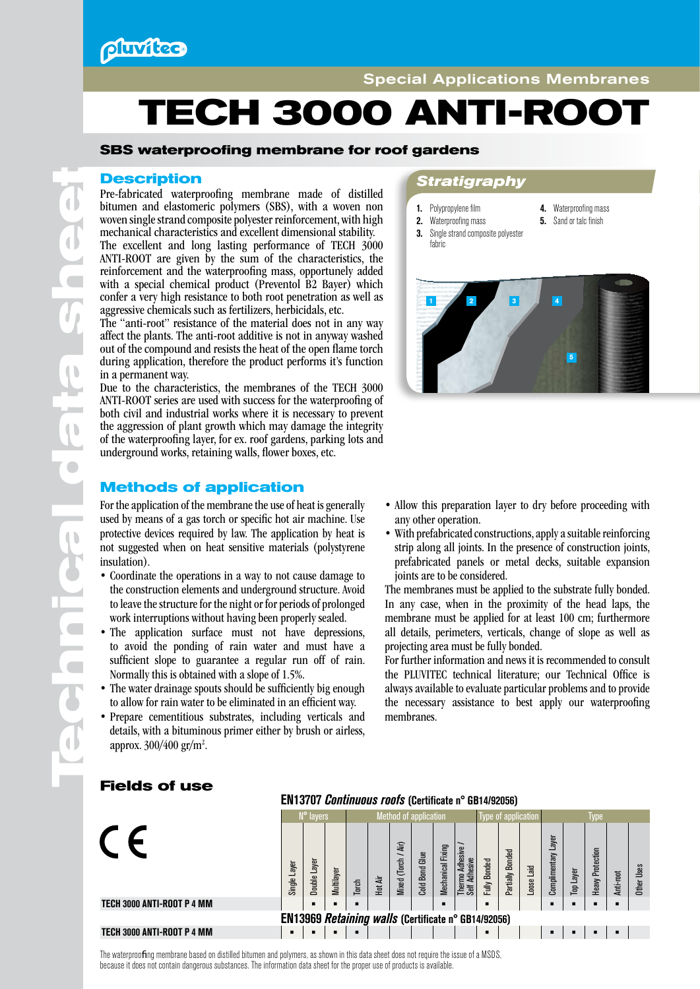

# **TECH 3000 ANTI-ROOT**

## **SBS waterproofing membrane for roof gardens**

Pre-fabricated waterproofing membrane made of distilled bitumen and elastomeric polymers (SBS), with a woven non woven single strand composite polyester reinforcement, with high mechanical characteristics and excellent dimensional stability. The excellent and long lasting performance of TECH 3000 ANTI-ROOT are given by the sum of the characteristics, the reinforcement and the waterproofing mass, opportunely added with a special chemical product (Preventol B2 Bayer) which confer a very high resistance to both root penetration as well as aggressive chemicals such as fertilizers, herbicidals, etc.

The "anti-root" resistance of the material does not in any way affect the plants. The anti-root additive is not in anyway washed out of the compound and resists the heat of the open flame torch during application, therefore the product performs it's function in a permanent way.

Due to the characteristics, the membranes of the TECH 3000 ANTI-ROOT series are used with success for the waterproofing of both civil and industrial works where it is necessary to prevent the aggression of plant growth which may damage the integrity of the waterproofing layer, for ex. roof gardens, parking lots and underground works, retaining walls, flower boxes, etc.

## **Methods of application**

For the application of the membrane the use of heat is generally used by means of a gas torch or specific hot air machine. Use protective devices required by law. The application by heat is not suggested when on heat sensitive materials (polystyrene insulation).

- Coordinate the operations in a way to not cause damage to the construction elements and underground structure. Avoid to leave the structure for the night or for periods of prolonged work interruptions without having been properly sealed.
- The application surface must not have depressions, to avoid the ponding of rain water and must have a sufficient slope to guarantee a regular run off of rain. Normally this is obtained with a slope of 1.5%.
- The water drainage spouts should be sufficiently big enough to allow for rain water to be eliminated in an efficient way.
- Prepare cementitious substrates, including verticals and details, with a bituminous primer either by brush or airless, approx. 300/400 gr/m<sup>2</sup>.

# **Description** *Stratigraphy*

- 1. Polypropylene film
- 4. Waterproofing mass
	- **5.** Sand or talc finish
- 2. Waterproofing mass **3.** Single strand composite polyester fabric



- Allow this preparation layer to dry before proceeding with any other operation.
- With prefabricated constructions, apply a suitable reinforcing strip along all joints. In the presence of construction joints, prefabricated panels or metal decks, suitable expansion joints are to be considered.

The membranes must be applied to the substrate fully bonded. In any case, when in the proximity of the head laps, the membrane must be applied for at least 100 cm; furthermore all details, perimeters, verticals, change of slope as well as projecting area must be fully bonded.

For further information and news it is recommended to consult the PLUVITEC technical literature; our Technical Office is always available to evaluate particular problems and to provide the necessary assistance to best apply our waterproofing membranes.

## N° layers **Method of application** Type of application Type  $\epsilon$ Complimentary Layer Jomplimentary Layer Thermo Adhesive / *Nixed* (Torch / Air) Mixed (Torch / Air) **Mechanical Fixing** Mechanical Fixing hermo Adhesive **Heavy Protection** Partially Bonded Heavy Protection Partially Bonded **Cold Bond Glue** Cold Bond Glue Fully Bonded Adhesive Self Adhesive Single Layer Double Laver Loose Laid Ither Uses Top Layer Anti-root Multilayer Hot Air Torch TECH 3000 ANTI-ROOT P 4 MM **• • • • • • • • •** EN13969 *Retaining walls* (Certificate n° GB14/92056) TECH 3000 ANTI-ROOT P 4 MM **• • • • • • • • •**

EN13707 *Continuous roofs* (Certificate n° GB14/92056)

**Fields of use**

**Te**

**chnical da**

 $\overline{\phantom{a}}$ 

 $\overline{\phantom{a}}$ 

 $\blacksquare$ 

**ta sh**

 $\blacksquare$ 

 $\bigcirc$ 

**eet**

The waterproofing membrane based on distilled bitumen and polymers, as shown in this data sheet does not require the issue of a MSDS, because it does not contain dangerous substances. The information data sheet for the proper use of products is available.